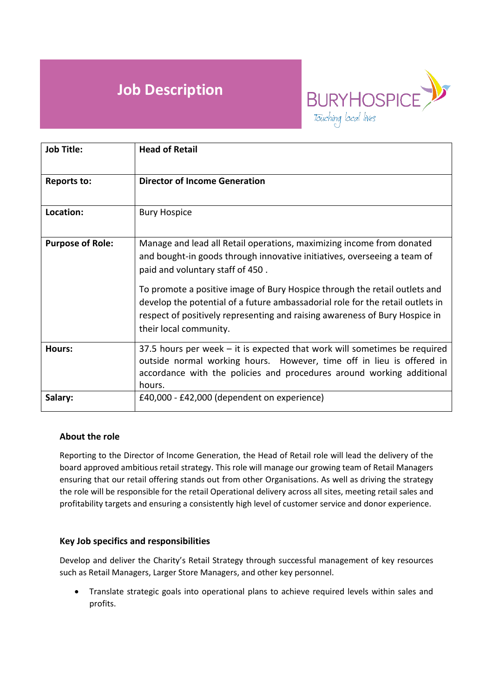# **Job Description**



| <b>Job Title:</b>       | <b>Head of Retail</b>                                                                                                                                                                                                                                                                                                                                                                                                                                          |
|-------------------------|----------------------------------------------------------------------------------------------------------------------------------------------------------------------------------------------------------------------------------------------------------------------------------------------------------------------------------------------------------------------------------------------------------------------------------------------------------------|
| <b>Reports to:</b>      | <b>Director of Income Generation</b>                                                                                                                                                                                                                                                                                                                                                                                                                           |
| Location:               | <b>Bury Hospice</b>                                                                                                                                                                                                                                                                                                                                                                                                                                            |
| <b>Purpose of Role:</b> | Manage and lead all Retail operations, maximizing income from donated<br>and bought-in goods through innovative initiatives, overseeing a team of<br>paid and voluntary staff of 450.<br>To promote a positive image of Bury Hospice through the retail outlets and<br>develop the potential of a future ambassadorial role for the retail outlets in<br>respect of positively representing and raising awareness of Bury Hospice in<br>their local community. |
| <b>Hours:</b>           | 37.5 hours per week - it is expected that work will sometimes be required<br>outside normal working hours. However, time off in lieu is offered in<br>accordance with the policies and procedures around working additional<br>hours.                                                                                                                                                                                                                          |
| Salary:                 | £40,000 - £42,000 (dependent on experience)                                                                                                                                                                                                                                                                                                                                                                                                                    |

### **About the role**

Reporting to the Director of Income Generation, the Head of Retail role will lead the delivery of the board approved ambitious retail strategy. This role will manage our growing team of Retail Managers ensuring that our retail offering stands out from other Organisations. As well as driving the strategy the role will be responsible for the retail Operational delivery across all sites, meeting retail sales and profitability targets and ensuring a consistently high level of customer service and donor experience.

### **Key Job specifics and responsibilities**

Develop and deliver the Charity's Retail Strategy through successful management of key resources such as Retail Managers, Larger Store Managers, and other key personnel.

• Translate strategic goals into operational plans to achieve required levels within sales and profits.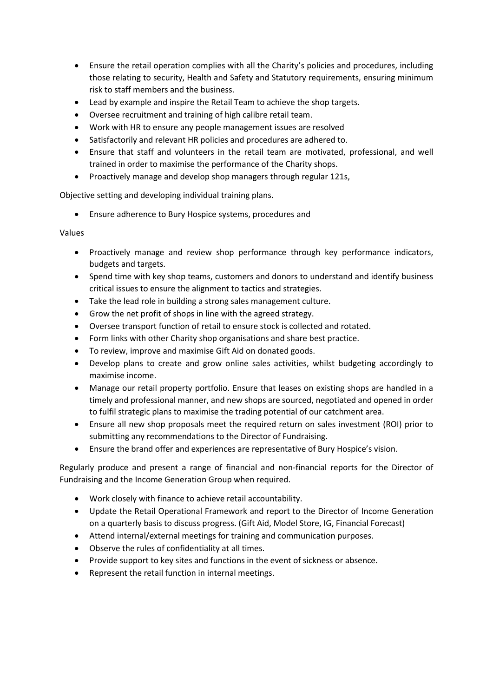- Ensure the retail operation complies with all the Charity's policies and procedures, including those relating to security, Health and Safety and Statutory requirements, ensuring minimum risk to staff members and the business.
- Lead by example and inspire the Retail Team to achieve the shop targets.
- Oversee recruitment and training of high calibre retail team.
- Work with HR to ensure any people management issues are resolved
- Satisfactorily and relevant HR policies and procedures are adhered to.
- Ensure that staff and volunteers in the retail team are motivated, professional, and well trained in order to maximise the performance of the Charity shops.
- Proactively manage and develop shop managers through regular 121s,

Objective setting and developing individual training plans.

• Ensure adherence to Bury Hospice systems, procedures and

#### Values

- Proactively manage and review shop performance through key performance indicators, budgets and targets.
- Spend time with key shop teams, customers and donors to understand and identify business critical issues to ensure the alignment to tactics and strategies.
- Take the lead role in building a strong sales management culture.
- Grow the net profit of shops in line with the agreed strategy.
- Oversee transport function of retail to ensure stock is collected and rotated.
- Form links with other Charity shop organisations and share best practice.
- To review, improve and maximise Gift Aid on donated goods.
- Develop plans to create and grow online sales activities, whilst budgeting accordingly to maximise income.
- Manage our retail property portfolio. Ensure that leases on existing shops are handled in a timely and professional manner, and new shops are sourced, negotiated and opened in order to fulfil strategic plans to maximise the trading potential of our catchment area.
- Ensure all new shop proposals meet the required return on sales investment (ROI) prior to submitting any recommendations to the Director of Fundraising.
- Ensure the brand offer and experiences are representative of Bury Hospice's vision.

Regularly produce and present a range of financial and non-financial reports for the Director of Fundraising and the Income Generation Group when required.

- Work closely with finance to achieve retail accountability.
- Update the Retail Operational Framework and report to the Director of Income Generation on a quarterly basis to discuss progress. (Gift Aid, Model Store, IG, Financial Forecast)
- Attend internal/external meetings for training and communication purposes.
- Observe the rules of confidentiality at all times.
- Provide support to key sites and functions in the event of sickness or absence.
- Represent the retail function in internal meetings.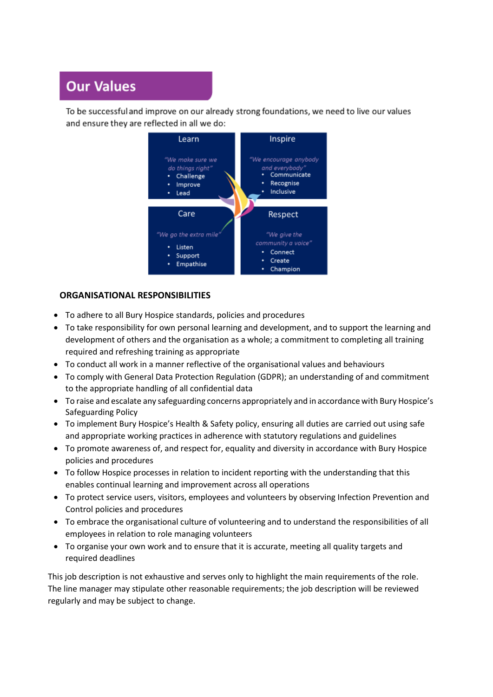## **Our Values**

To be successful and improve on our already strong foundations, we need to live our values and ensure they are reflected in all we do:



### **ORGANISATIONAL RESPONSIBILITIES**

- To adhere to all Bury Hospice standards, policies and procedures
- To take responsibility for own personal learning and development, and to support the learning and development of others and the organisation as a whole; a commitment to completing all training required and refreshing training as appropriate
- To conduct all work in a manner reflective of the organisational values and behaviours
- To comply with General Data Protection Regulation (GDPR); an understanding of and commitment to the appropriate handling of all confidential data
- To raise and escalate any safeguarding concerns appropriately and in accordance with Bury Hospice's Safeguarding Policy
- To implement Bury Hospice's Health & Safety policy, ensuring all duties are carried out using safe and appropriate working practices in adherence with statutory regulations and guidelines
- To promote awareness of, and respect for, equality and diversity in accordance with Bury Hospice policies and procedures
- To follow Hospice processes in relation to incident reporting with the understanding that this enables continual learning and improvement across all operations
- To protect service users, visitors, employees and volunteers by observing Infection Prevention and Control policies and procedures
- To embrace the organisational culture of volunteering and to understand the responsibilities of all employees in relation to role managing volunteers
- To organise your own work and to ensure that it is accurate, meeting all quality targets and required deadlines

This job description is not exhaustive and serves only to highlight the main requirements of the role. The line manager may stipulate other reasonable requirements; the job description will be reviewed regularly and may be subject to change.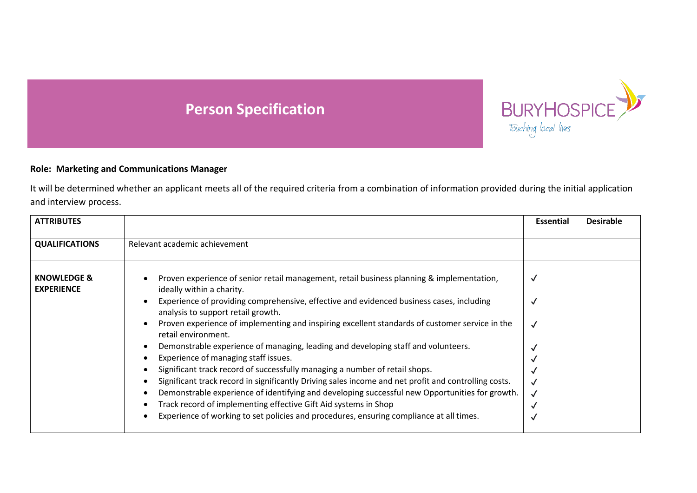# **Person Specification**



### **Role: Marketing and Communications Manager**

It will be determined whether an applicant meets all of the required criteria from a combination of information provided during the initial application and interview process.

| <b>ATTRIBUTES</b>                           |                                                                                                                                                                                                                                                                                                                                                                                                                                                                                                                                                                                                                                                                                                                                                                                                                                                                                                                                                                       | <b>Essential</b> | <b>Desirable</b> |
|---------------------------------------------|-----------------------------------------------------------------------------------------------------------------------------------------------------------------------------------------------------------------------------------------------------------------------------------------------------------------------------------------------------------------------------------------------------------------------------------------------------------------------------------------------------------------------------------------------------------------------------------------------------------------------------------------------------------------------------------------------------------------------------------------------------------------------------------------------------------------------------------------------------------------------------------------------------------------------------------------------------------------------|------------------|------------------|
| <b>QUALIFICATIONS</b>                       | Relevant academic achievement                                                                                                                                                                                                                                                                                                                                                                                                                                                                                                                                                                                                                                                                                                                                                                                                                                                                                                                                         |                  |                  |
| <b>KNOWLEDGE &amp;</b><br><b>EXPERIENCE</b> | Proven experience of senior retail management, retail business planning & implementation,<br>ideally within a charity.<br>Experience of providing comprehensive, effective and evidenced business cases, including<br>analysis to support retail growth.<br>Proven experience of implementing and inspiring excellent standards of customer service in the<br>retail environment.<br>Demonstrable experience of managing, leading and developing staff and volunteers.<br>Experience of managing staff issues.<br>Significant track record of successfully managing a number of retail shops.<br>Significant track record in significantly Driving sales income and net profit and controlling costs.<br>Demonstrable experience of identifying and developing successful new Opportunities for growth.<br>Track record of implementing effective Gift Aid systems in Shop<br>Experience of working to set policies and procedures, ensuring compliance at all times. | $\checkmark$     |                  |